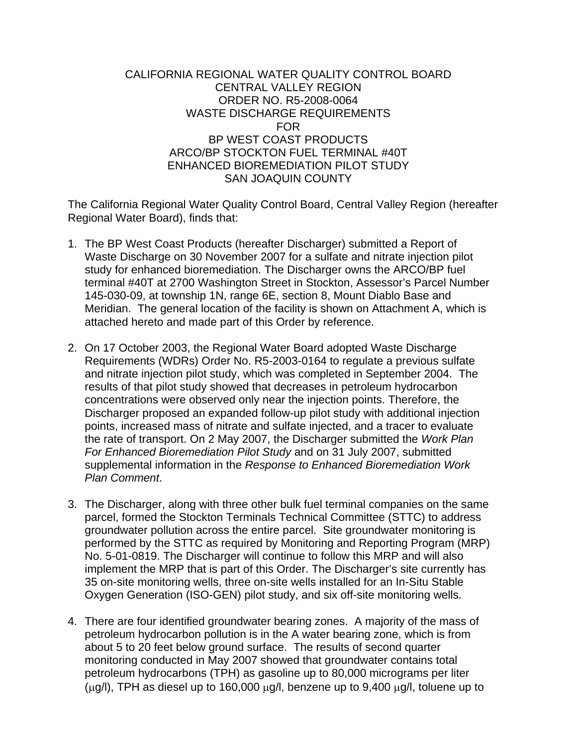## CALIFORNIA REGIONAL WATER QUALITY CONTROL BOARD CENTRAL VALLEY REGION ORDER NO. R5-2008-0064 WASTE DISCHARGE REQUIREMENTS FOR BP WEST COAST PRODUCTS ARCO/BP STOCKTON FUEL TERMINAL #40T ENHANCED BIOREMEDIATION PILOT STUDY SAN JOAQUIN COUNTY

The California Regional Water Quality Control Board, Central Valley Region (hereafter Regional Water Board), finds that:

- 1. The BP West Coast Products (hereafter Discharger) submitted a Report of Waste Discharge on 30 November 2007 for a sulfate and nitrate injection pilot study for enhanced bioremediation. The Discharger owns the ARCO/BP fuel terminal #40T at 2700 Washington Street in Stockton, Assessor's Parcel Number 145-030-09, at township 1N, range 6E, section 8, Mount Diablo Base and Meridian. The general location of the facility is shown on Attachment A, which is attached hereto and made part of this Order by reference.
- 2. On 17 October 2003, the Regional Water Board adopted Waste Discharge Requirements (WDRs) Order No. R5-2003-0164 to regulate a previous sulfate and nitrate injection pilot study, which was completed in September 2004. The results of that pilot study showed that decreases in petroleum hydrocarbon concentrations were observed only near the injection points. Therefore, the Discharger proposed an expanded follow-up pilot study with additional injection points, increased mass of nitrate and sulfate injected, and a tracer to evaluate the rate of transport. On 2 May 2007, the Discharger submitted the *Work Plan For Enhanced Bioremediation Pilot Study* and on 31 July 2007, submitted supplemental information in the *Response to Enhanced Bioremediation Work Plan Comment*.
- 3. The Discharger, along with three other bulk fuel terminal companies on the same parcel, formed the Stockton Terminals Technical Committee (STTC) to address groundwater pollution across the entire parcel. Site groundwater monitoring is performed by the STTC as required by Monitoring and Reporting Program (MRP) No. 5-01-0819. The Discharger will continue to follow this MRP and will also implement the MRP that is part of this Order. The Discharger's site currently has 35 on-site monitoring wells, three on-site wells installed for an In-Situ Stable Oxygen Generation (ISO-GEN) pilot study, and six off-site monitoring wells.
- 4. There are four identified groundwater bearing zones. A majority of the mass of petroleum hydrocarbon pollution is in the A water bearing zone, which is from about 5 to 20 feet below ground surface. The results of second quarter monitoring conducted in May 2007 showed that groundwater contains total petroleum hydrocarbons (TPH) as gasoline up to 80,000 micrograms per liter (μg/l), TPH as diesel up to 160,000 μg/l, benzene up to 9,400 μg/l, toluene up to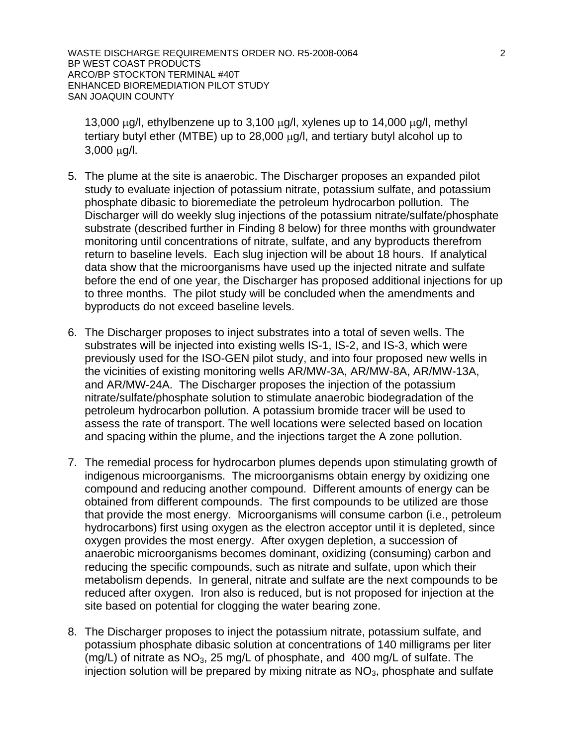WASTE DISCHARGE REQUIREMENTS ORDER NO. R5-2008-0064 2 BP WEST COAST PRODUCTS ARCO/BP STOCKTON TERMINAL #40T ENHANCED BIOREMEDIATION PILOT STUDY SAN JOAQUIN COUNTY

13,000  $\mu$ g/l, ethylbenzene up to 3,100  $\mu$ g/l, xylenes up to 14,000  $\mu$ g/l, methyl tertiary butyl ether (MTBE) up to 28,000 μg/l, and tertiary butyl alcohol up to 3,000 μg/l.

- 5. The plume at the site is anaerobic. The Discharger proposes an expanded pilot study to evaluate injection of potassium nitrate, potassium sulfate, and potassium phosphate dibasic to bioremediate the petroleum hydrocarbon pollution. The Discharger will do weekly slug injections of the potassium nitrate/sulfate/phosphate substrate (described further in Finding 8 below) for three months with groundwater monitoring until concentrations of nitrate, sulfate, and any byproducts therefrom return to baseline levels. Each slug injection will be about 18 hours. If analytical data show that the microorganisms have used up the injected nitrate and sulfate before the end of one year, the Discharger has proposed additional injections for up to three months. The pilot study will be concluded when the amendments and byproducts do not exceed baseline levels.
- 6. The Discharger proposes to inject substrates into a total of seven wells. The substrates will be injected into existing wells IS-1, IS-2, and IS-3, which were previously used for the ISO-GEN pilot study, and into four proposed new wells in the vicinities of existing monitoring wells AR/MW-3A, AR/MW-8A, AR/MW-13A, and AR/MW-24A. The Discharger proposes the injection of the potassium nitrate/sulfate/phosphate solution to stimulate anaerobic biodegradation of the petroleum hydrocarbon pollution. A potassium bromide tracer will be used to assess the rate of transport. The well locations were selected based on location and spacing within the plume, and the injections target the A zone pollution.
- 7. The remedial process for hydrocarbon plumes depends upon stimulating growth of indigenous microorganisms. The microorganisms obtain energy by oxidizing one compound and reducing another compound. Different amounts of energy can be obtained from different compounds. The first compounds to be utilized are those that provide the most energy. Microorganisms will consume carbon (i.e., petroleum hydrocarbons) first using oxygen as the electron acceptor until it is depleted, since oxygen provides the most energy. After oxygen depletion, a succession of anaerobic microorganisms becomes dominant, oxidizing (consuming) carbon and reducing the specific compounds, such as nitrate and sulfate, upon which their metabolism depends. In general, nitrate and sulfate are the next compounds to be reduced after oxygen. Iron also is reduced, but is not proposed for injection at the site based on potential for clogging the water bearing zone.
- 8. The Discharger proposes to inject the potassium nitrate, potassium sulfate, and potassium phosphate dibasic solution at concentrations of 140 milligrams per liter (mg/L) of nitrate as  $NO<sub>3</sub>$ , 25 mg/L of phosphate, and 400 mg/L of sulfate. The injection solution will be prepared by mixing nitrate as  $NO<sub>3</sub>$ , phosphate and sulfate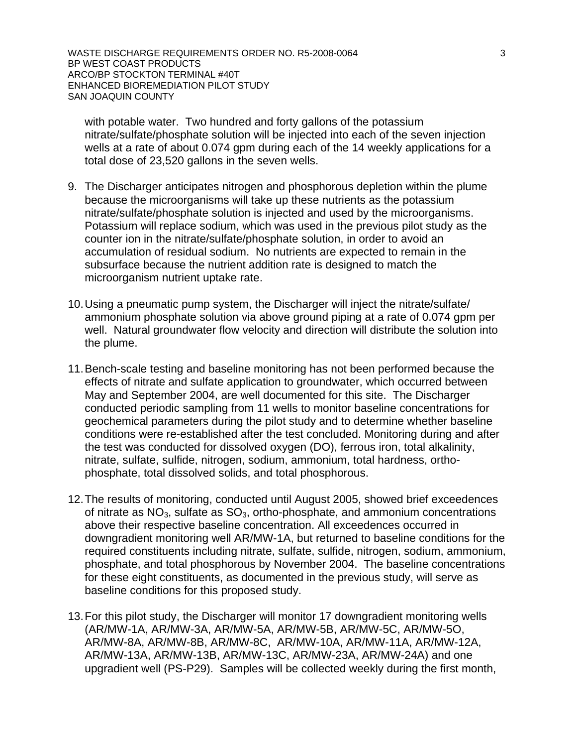WASTE DISCHARGE REQUIREMENTS ORDER NO. R5-2008-0064 3 BP WEST COAST PRODUCTS ARCO/BP STOCKTON TERMINAL #40T ENHANCED BIOREMEDIATION PILOT STUDY SAN JOAQUIN COUNTY

with potable water. Two hundred and forty gallons of the potassium nitrate/sulfate/phosphate solution will be injected into each of the seven injection wells at a rate of about 0.074 gpm during each of the 14 weekly applications for a total dose of 23,520 gallons in the seven wells.

- 9. The Discharger anticipates nitrogen and phosphorous depletion within the plume because the microorganisms will take up these nutrients as the potassium nitrate/sulfate/phosphate solution is injected and used by the microorganisms. Potassium will replace sodium, which was used in the previous pilot study as the counter ion in the nitrate/sulfate/phosphate solution, in order to avoid an accumulation of residual sodium. No nutrients are expected to remain in the subsurface because the nutrient addition rate is designed to match the microorganism nutrient uptake rate.
- 10. Using a pneumatic pump system, the Discharger will inject the nitrate/sulfate/ ammonium phosphate solution via above ground piping at a rate of 0.074 gpm per well. Natural groundwater flow velocity and direction will distribute the solution into the plume.
- 11. Bench-scale testing and baseline monitoring has not been performed because the effects of nitrate and sulfate application to groundwater, which occurred between May and September 2004, are well documented for this site. The Discharger conducted periodic sampling from 11 wells to monitor baseline concentrations for geochemical parameters during the pilot study and to determine whether baseline conditions were re-established after the test concluded. Monitoring during and after the test was conducted for dissolved oxygen (DO), ferrous iron, total alkalinity, nitrate, sulfate, sulfide, nitrogen, sodium, ammonium, total hardness, orthophosphate, total dissolved solids, and total phosphorous.
- 12. The results of monitoring, conducted until August 2005, showed brief exceedences of nitrate as  $NO<sub>3</sub>$ , sulfate as  $SO<sub>3</sub>$ , ortho-phosphate, and ammonium concentrations above their respective baseline concentration. All exceedences occurred in downgradient monitoring well AR/MW-1A, but returned to baseline conditions for the required constituents including nitrate, sulfate, sulfide, nitrogen, sodium, ammonium, phosphate, and total phosphorous by November 2004. The baseline concentrations for these eight constituents, as documented in the previous study, will serve as baseline conditions for this proposed study.
- 13. For this pilot study, the Discharger will monitor 17 downgradient monitoring wells (AR/MW-1A, AR/MW-3A, AR/MW-5A, AR/MW-5B, AR/MW-5C, AR/MW-5O, AR/MW-8A, AR/MW-8B, AR/MW-8C, AR/MW-10A, AR/MW-11A, AR/MW-12A, AR/MW-13A, AR/MW-13B, AR/MW-13C, AR/MW-23A, AR/MW-24A) and one upgradient well (PS-P29). Samples will be collected weekly during the first month,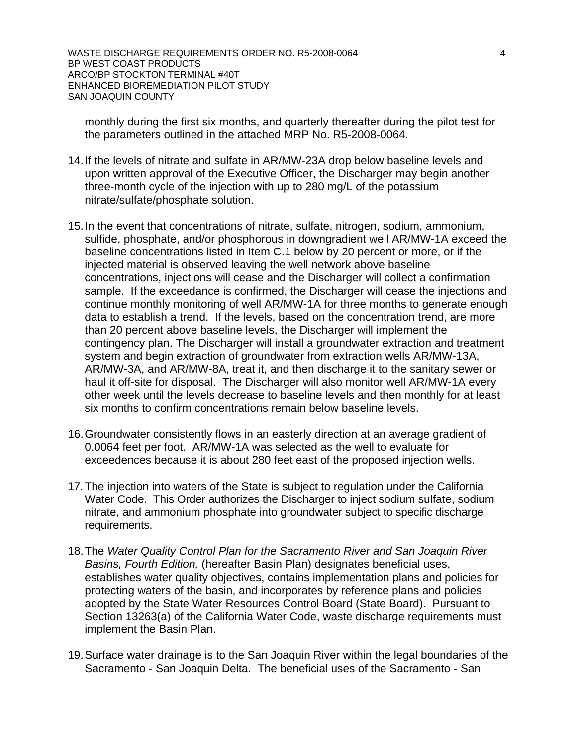WASTE DISCHARGE REQUIREMENTS ORDER NO. R5-2008-0064 4 BP WEST COAST PRODUCTS ARCO/BP STOCKTON TERMINAL #40T ENHANCED BIOREMEDIATION PILOT STUDY SAN JOAQUIN COUNTY

monthly during the first six months, and quarterly thereafter during the pilot test for the parameters outlined in the attached MRP No. R5-2008-0064.

- 14. If the levels of nitrate and sulfate in AR/MW-23A drop below baseline levels and upon written approval of the Executive Officer, the Discharger may begin another three-month cycle of the injection with up to 280 mg/L of the potassium nitrate/sulfate/phosphate solution.
- 15. In the event that concentrations of nitrate, sulfate, nitrogen, sodium, ammonium, sulfide, phosphate, and/or phosphorous in downgradient well AR/MW-1A exceed the baseline concentrations listed in Item C.1 below by 20 percent or more, or if the injected material is observed leaving the well network above baseline concentrations, injections will cease and the Discharger will collect a confirmation sample. If the exceedance is confirmed, the Discharger will cease the injections and continue monthly monitoring of well AR/MW-1A for three months to generate enough data to establish a trend. If the levels, based on the concentration trend, are more than 20 percent above baseline levels, the Discharger will implement the contingency plan. The Discharger will install a groundwater extraction and treatment system and begin extraction of groundwater from extraction wells AR/MW-13A, AR/MW-3A, and AR/MW-8A, treat it, and then discharge it to the sanitary sewer or haul it off-site for disposal. The Discharger will also monitor well AR/MW-1A every other week until the levels decrease to baseline levels and then monthly for at least six months to confirm concentrations remain below baseline levels.
- 16. Groundwater consistently flows in an easterly direction at an average gradient of 0.0064 feet per foot. AR/MW-1A was selected as the well to evaluate for exceedences because it is about 280 feet east of the proposed injection wells.
- 17. The injection into waters of the State is subject to regulation under the California Water Code. This Order authorizes the Discharger to inject sodium sulfate, sodium nitrate, and ammonium phosphate into groundwater subject to specific discharge requirements.
- 18. The *Water Quality Control Plan for the Sacramento River and San Joaquin River Basins, Fourth Edition,* (hereafter Basin Plan) designates beneficial uses, establishes water quality objectives, contains implementation plans and policies for protecting waters of the basin, and incorporates by reference plans and policies adopted by the State Water Resources Control Board (State Board). Pursuant to Section 13263(a) of the California Water Code, waste discharge requirements must implement the Basin Plan.
- 19. Surface water drainage is to the San Joaquin River within the legal boundaries of the Sacramento - San Joaquin Delta. The beneficial uses of the Sacramento - San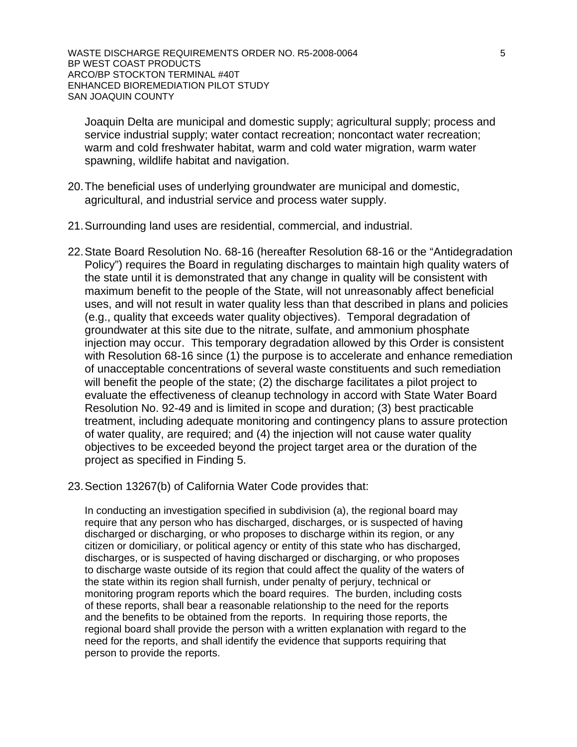WASTE DISCHARGE REQUIREMENTS ORDER NO. R5-2008-0064 5 BP WEST COAST PRODUCTS ARCO/BP STOCKTON TERMINAL #40T ENHANCED BIOREMEDIATION PILOT STUDY SAN JOAQUIN COUNTY

Joaquin Delta are municipal and domestic supply; agricultural supply; process and service industrial supply; water contact recreation; noncontact water recreation; warm and cold freshwater habitat, warm and cold water migration, warm water spawning, wildlife habitat and navigation.

- 20. The beneficial uses of underlying groundwater are municipal and domestic, agricultural, and industrial service and process water supply.
- 21. Surrounding land uses are residential, commercial, and industrial.
- 22. State Board Resolution No. 68-16 (hereafter Resolution 68-16 or the "Antidegradation Policy") requires the Board in regulating discharges to maintain high quality waters of the state until it is demonstrated that any change in quality will be consistent with maximum benefit to the people of the State, will not unreasonably affect beneficial uses, and will not result in water quality less than that described in plans and policies (e.g., quality that exceeds water quality objectives). Temporal degradation of groundwater at this site due to the nitrate, sulfate, and ammonium phosphate injection may occur. This temporary degradation allowed by this Order is consistent with Resolution 68-16 since (1) the purpose is to accelerate and enhance remediation of unacceptable concentrations of several waste constituents and such remediation will benefit the people of the state; (2) the discharge facilitates a pilot project to evaluate the effectiveness of cleanup technology in accord with State Water Board Resolution No. 92-49 and is limited in scope and duration; (3) best practicable treatment, including adequate monitoring and contingency plans to assure protection of water quality, are required; and (4) the injection will not cause water quality objectives to be exceeded beyond the project target area or the duration of the project as specified in Finding 5.
- 23. Section 13267(b) of California Water Code provides that:

 In conducting an investigation specified in subdivision (a), the regional board may require that any person who has discharged, discharges, or is suspected of having discharged or discharging, or who proposes to discharge within its region, or any citizen or domiciliary, or political agency or entity of this state who has discharged, discharges, or is suspected of having discharged or discharging, or who proposes to discharge waste outside of its region that could affect the quality of the waters of the state within its region shall furnish, under penalty of perjury, technical or monitoring program reports which the board requires. The burden, including costs of these reports, shall bear a reasonable relationship to the need for the reports and the benefits to be obtained from the reports. In requiring those reports, the regional board shall provide the person with a written explanation with regard to the need for the reports, and shall identify the evidence that supports requiring that person to provide the reports.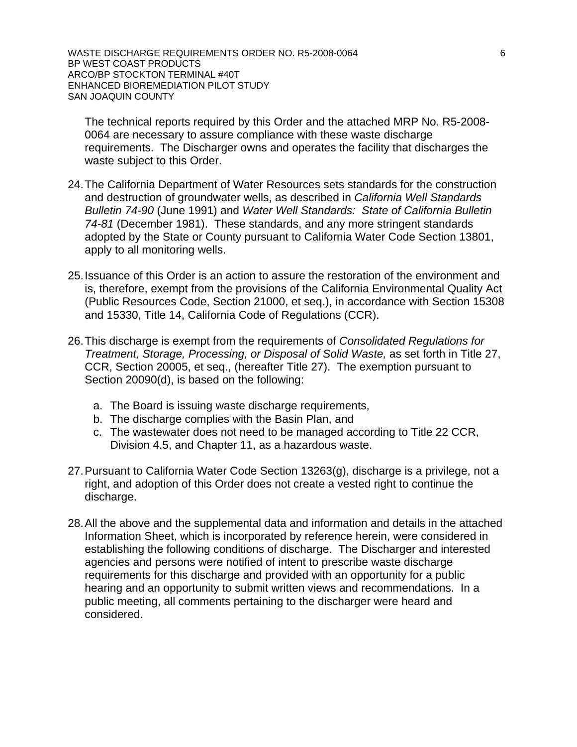WASTE DISCHARGE REQUIREMENTS ORDER NO. R5-2008-0064 6 6 BP WEST COAST PRODUCTS ARCO/BP STOCKTON TERMINAL #40T ENHANCED BIOREMEDIATION PILOT STUDY SAN JOAQUIN COUNTY

 The technical reports required by this Order and the attached MRP No. R5-2008- 0064 are necessary to assure compliance with these waste discharge requirements. The Discharger owns and operates the facility that discharges the waste subject to this Order.

- 24. The California Department of Water Resources sets standards for the construction and destruction of groundwater wells, as described in *California Well Standards Bulletin 74-90* (June 1991) and *Water Well Standards: State of California Bulletin 74-81* (December 1981). These standards, and any more stringent standards adopted by the State or County pursuant to California Water Code Section 13801, apply to all monitoring wells.
- 25. Issuance of this Order is an action to assure the restoration of the environment and is, therefore, exempt from the provisions of the California Environmental Quality Act (Public Resources Code, Section 21000, et seq.), in accordance with Section 15308 and 15330, Title 14, California Code of Regulations (CCR).
- 26. This discharge is exempt from the requirements of *Consolidated Regulations for Treatment, Storage, Processing, or Disposal of Solid Waste,* as set forth in Title 27, CCR, Section 20005, et seq., (hereafter Title 27). The exemption pursuant to Section 20090(d), is based on the following:
	- a. The Board is issuing waste discharge requirements,
	- b. The discharge complies with the Basin Plan, and
	- c. The wastewater does not need to be managed according to Title 22 CCR, Division 4.5, and Chapter 11, as a hazardous waste.
- 27. Pursuant to California Water Code Section 13263(g), discharge is a privilege, not a right, and adoption of this Order does not create a vested right to continue the discharge.
- 28. All the above and the supplemental data and information and details in the attached Information Sheet, which is incorporated by reference herein, were considered in establishing the following conditions of discharge. The Discharger and interested agencies and persons were notified of intent to prescribe waste discharge requirements for this discharge and provided with an opportunity for a public hearing and an opportunity to submit written views and recommendations. In a public meeting, all comments pertaining to the discharger were heard and considered.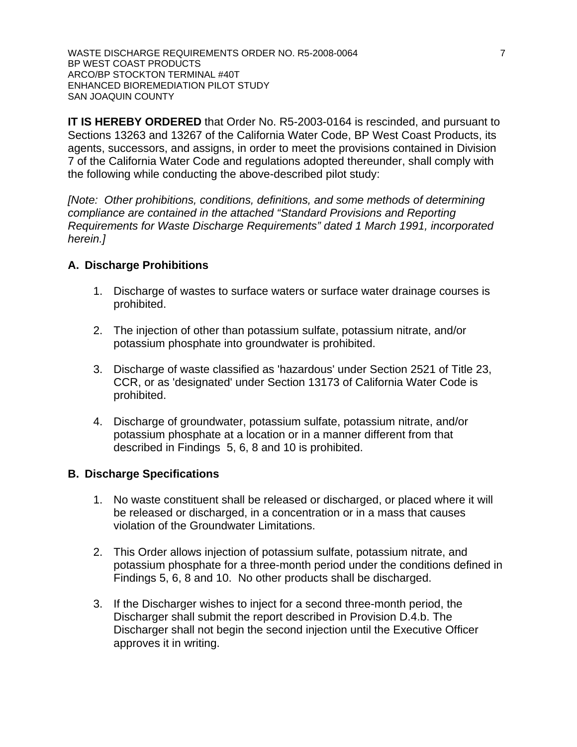WASTE DISCHARGE REQUIREMENTS ORDER NO. R5-2008-0064 7 BP WEST COAST PRODUCTS ARCO/BP STOCKTON TERMINAL #40T ENHANCED BIOREMEDIATION PILOT STUDY SAN JOAQUIN COUNTY

**IT IS HEREBY ORDERED** that Order No. R5-2003-0164 is rescinded, and pursuant to Sections 13263 and 13267 of the California Water Code, BP West Coast Products, its agents, successors, and assigns, in order to meet the provisions contained in Division 7 of the California Water Code and regulations adopted thereunder, shall comply with the following while conducting the above-described pilot study:

*[Note: Other prohibitions, conditions, definitions, and some methods of determining compliance are contained in the attached "Standard Provisions and Reporting Requirements for Waste Discharge Requirements" dated 1 March 1991, incorporated herein.]* 

## **A. Discharge Prohibitions**

- 1. Discharge of wastes to surface waters or surface water drainage courses is prohibited.
- 2. The injection of other than potassium sulfate, potassium nitrate, and/or potassium phosphate into groundwater is prohibited.
- 3. Discharge of waste classified as 'hazardous' under Section 2521 of Title 23, CCR, or as 'designated' under Section 13173 of California Water Code is prohibited.
- 4. Discharge of groundwater, potassium sulfate, potassium nitrate, and/or potassium phosphate at a location or in a manner different from that described in Findings 5, 6, 8 and 10 is prohibited.

### **B. Discharge Specifications**

- 1. No waste constituent shall be released or discharged, or placed where it will be released or discharged, in a concentration or in a mass that causes violation of the Groundwater Limitations.
- 2. This Order allows injection of potassium sulfate, potassium nitrate, and potassium phosphate for a three-month period under the conditions defined in Findings 5, 6, 8 and 10. No other products shall be discharged.
- 3. If the Discharger wishes to inject for a second three-month period, the Discharger shall submit the report described in Provision D.4.b. The Discharger shall not begin the second injection until the Executive Officer approves it in writing.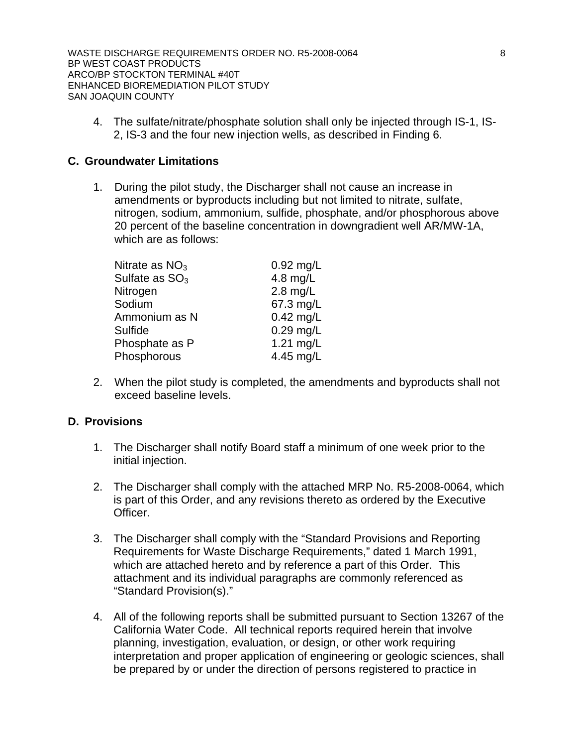WASTE DISCHARGE REQUIREMENTS ORDER NO. R5-2008-0064 8 BP WEST COAST PRODUCTS ARCO/BP STOCKTON TERMINAL #40T ENHANCED BIOREMEDIATION PILOT STUDY SAN JOAQUIN COUNTY

4. The sulfate/nitrate/phosphate solution shall only be injected through IS-1, IS-2, IS-3 and the four new injection wells, as described in Finding 6.

## **C. Groundwater Limitations**

1. During the pilot study, the Discharger shall not cause an increase in amendments or byproducts including but not limited to nitrate, sulfate, nitrogen, sodium, ammonium, sulfide, phosphate, and/or phosphorous above 20 percent of the baseline concentration in downgradient well AR/MW-1A, which are as follows:

| Nitrate as $NO3$ | 0.92 mg/L   |
|------------------|-------------|
| Sulfate as $SO3$ | 4.8 $mg/L$  |
| Nitrogen         | $2.8$ mg/L  |
| Sodium           | 67.3 mg/L   |
| Ammonium as N    | $0.42$ mg/L |
| Sulfide          | $0.29$ mg/L |
| Phosphate as P   | 1.21 mg/L   |
| Phosphorous      | 4.45 mg/L   |

2. When the pilot study is completed, the amendments and byproducts shall not exceed baseline levels.

### **D. Provisions**

- 1. The Discharger shall notify Board staff a minimum of one week prior to the initial injection.
- 2. The Discharger shall comply with the attached MRP No. R5-2008-0064, which is part of this Order, and any revisions thereto as ordered by the Executive Officer.
- 3. The Discharger shall comply with the "Standard Provisions and Reporting Requirements for Waste Discharge Requirements," dated 1 March 1991, which are attached hereto and by reference a part of this Order. This attachment and its individual paragraphs are commonly referenced as "Standard Provision(s)."
- 4. All of the following reports shall be submitted pursuant to Section 13267 of the California Water Code. All technical reports required herein that involve planning, investigation, evaluation, or design, or other work requiring interpretation and proper application of engineering or geologic sciences, shall be prepared by or under the direction of persons registered to practice in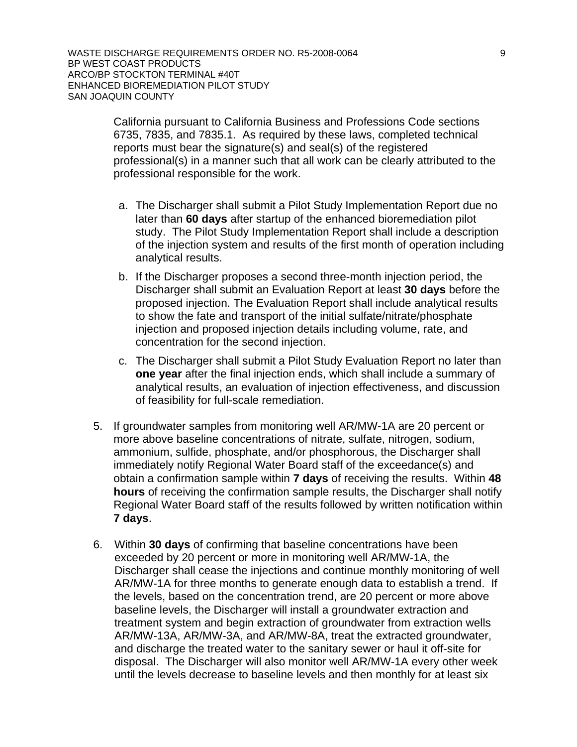WASTE DISCHARGE REQUIREMENTS ORDER NO. R5-2008-0064 9 BP WEST COAST PRODUCTS ARCO/BP STOCKTON TERMINAL #40T ENHANCED BIOREMEDIATION PILOT STUDY SAN JOAQUIN COUNTY

> California pursuant to California Business and Professions Code sections 6735, 7835, and 7835.1. As required by these laws, completed technical reports must bear the signature(s) and seal(s) of the registered professional(s) in a manner such that all work can be clearly attributed to the professional responsible for the work.

- a. The Discharger shall submit a Pilot Study Implementation Report due no later than **60 days** after startup of the enhanced bioremediation pilot study. The Pilot Study Implementation Report shall include a description of the injection system and results of the first month of operation including analytical results.
- b. If the Discharger proposes a second three-month injection period, the Discharger shall submit an Evaluation Report at least **30 days** before the proposed injection. The Evaluation Report shall include analytical results to show the fate and transport of the initial sulfate/nitrate/phosphate injection and proposed injection details including volume, rate, and concentration for the second injection.
- c. The Discharger shall submit a Pilot Study Evaluation Report no later than **one year** after the final injection ends, which shall include a summary of analytical results, an evaluation of injection effectiveness, and discussion of feasibility for full-scale remediation.
- 5. If groundwater samples from monitoring well AR/MW-1A are 20 percent or more above baseline concentrations of nitrate, sulfate, nitrogen, sodium, ammonium, sulfide, phosphate, and/or phosphorous, the Discharger shall immediately notify Regional Water Board staff of the exceedance(s) and obtain a confirmation sample within **7 days** of receiving the results. Within **48 hours** of receiving the confirmation sample results, the Discharger shall notify Regional Water Board staff of the results followed by written notification within **7 days**.
- 6. Within **30 days** of confirming that baseline concentrations have been exceeded by 20 percent or more in monitoring well AR/MW-1A, the Discharger shall cease the injections and continue monthly monitoring of well AR/MW-1A for three months to generate enough data to establish a trend. If the levels, based on the concentration trend, are 20 percent or more above baseline levels, the Discharger will install a groundwater extraction and treatment system and begin extraction of groundwater from extraction wells AR/MW-13A, AR/MW-3A, and AR/MW-8A, treat the extracted groundwater, and discharge the treated water to the sanitary sewer or haul it off-site for disposal. The Discharger will also monitor well AR/MW-1A every other week until the levels decrease to baseline levels and then monthly for at least six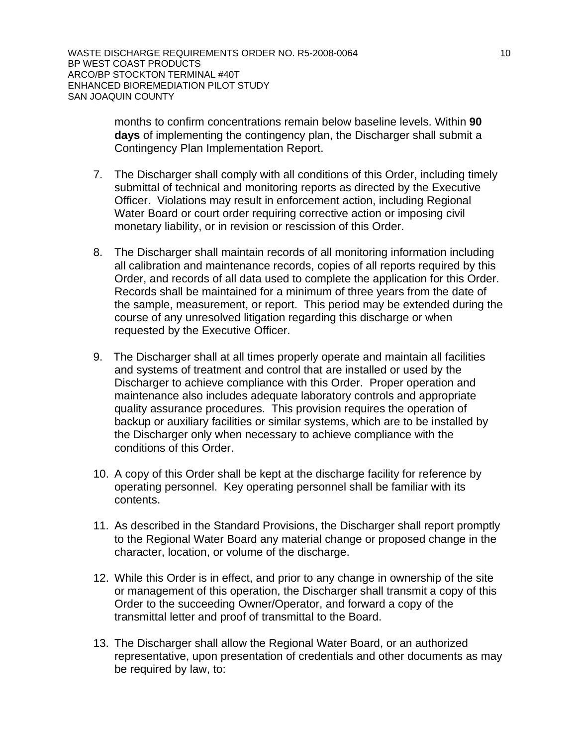WASTE DISCHARGE REQUIREMENTS ORDER NO. R5-2008-0064 10 10 BP WEST COAST PRODUCTS ARCO/BP STOCKTON TERMINAL #40T ENHANCED BIOREMEDIATION PILOT STUDY SAN JOAQUIN COUNTY

> months to confirm concentrations remain below baseline levels. Within **90 days** of implementing the contingency plan, the Discharger shall submit a Contingency Plan Implementation Report.

- 7. The Discharger shall comply with all conditions of this Order, including timely submittal of technical and monitoring reports as directed by the Executive Officer. Violations may result in enforcement action, including Regional Water Board or court order requiring corrective action or imposing civil monetary liability, or in revision or rescission of this Order.
- 8. The Discharger shall maintain records of all monitoring information including all calibration and maintenance records, copies of all reports required by this Order, and records of all data used to complete the application for this Order. Records shall be maintained for a minimum of three years from the date of the sample, measurement, or report. This period may be extended during the course of any unresolved litigation regarding this discharge or when requested by the Executive Officer.
- 9. The Discharger shall at all times properly operate and maintain all facilities and systems of treatment and control that are installed or used by the Discharger to achieve compliance with this Order. Proper operation and maintenance also includes adequate laboratory controls and appropriate quality assurance procedures. This provision requires the operation of backup or auxiliary facilities or similar systems, which are to be installed by the Discharger only when necessary to achieve compliance with the conditions of this Order.
- 10. A copy of this Order shall be kept at the discharge facility for reference by operating personnel. Key operating personnel shall be familiar with its contents.
- 11. As described in the Standard Provisions, the Discharger shall report promptly to the Regional Water Board any material change or proposed change in the character, location, or volume of the discharge.
- 12. While this Order is in effect, and prior to any change in ownership of the site or management of this operation, the Discharger shall transmit a copy of this Order to the succeeding Owner/Operator, and forward a copy of the transmittal letter and proof of transmittal to the Board.
- 13. The Discharger shall allow the Regional Water Board, or an authorized representative, upon presentation of credentials and other documents as may be required by law, to: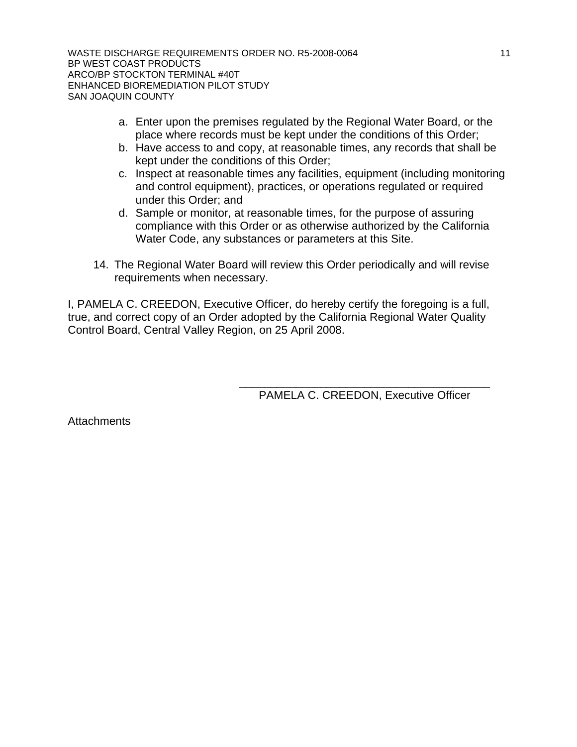WASTE DISCHARGE REQUIREMENTS ORDER NO. R5-2008-0064 11 11 BP WEST COAST PRODUCTS ARCO/BP STOCKTON TERMINAL #40T ENHANCED BIOREMEDIATION PILOT STUDY SAN JOAQUIN COUNTY

- a. Enter upon the premises regulated by the Regional Water Board, or the place where records must be kept under the conditions of this Order;
- b. Have access to and copy, at reasonable times, any records that shall be kept under the conditions of this Order;
- c. Inspect at reasonable times any facilities, equipment (including monitoring and control equipment), practices, or operations regulated or required under this Order; and
- d. Sample or monitor, at reasonable times, for the purpose of assuring compliance with this Order or as otherwise authorized by the California Water Code, any substances or parameters at this Site.
- 14. The Regional Water Board will review this Order periodically and will revise requirements when necessary.

I, PAMELA C. CREEDON, Executive Officer, do hereby certify the foregoing is a full, true, and correct copy of an Order adopted by the California Regional Water Quality Control Board, Central Valley Region, on 25 April 2008.

 $\frac{1}{\sqrt{2\pi}}$  ,  $\frac{1}{\sqrt{2\pi}}$  ,  $\frac{1}{\sqrt{2\pi}}$  ,  $\frac{1}{\sqrt{2\pi}}$  ,  $\frac{1}{\sqrt{2\pi}}$  ,  $\frac{1}{\sqrt{2\pi}}$  ,  $\frac{1}{\sqrt{2\pi}}$  ,  $\frac{1}{\sqrt{2\pi}}$  ,  $\frac{1}{\sqrt{2\pi}}$  ,  $\frac{1}{\sqrt{2\pi}}$  ,  $\frac{1}{\sqrt{2\pi}}$  ,  $\frac{1}{\sqrt{2\pi}}$  ,  $\frac{1}{\sqrt{2\pi}}$  , PAMELA C. CREEDON, Executive Officer

**Attachments**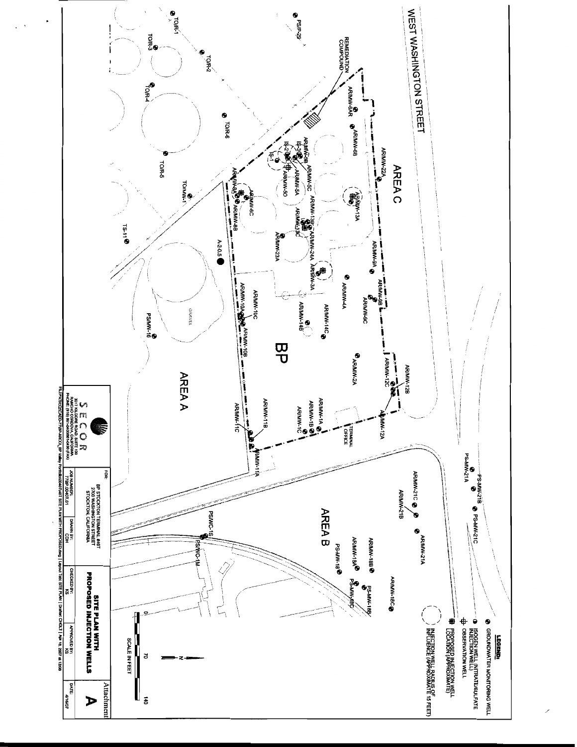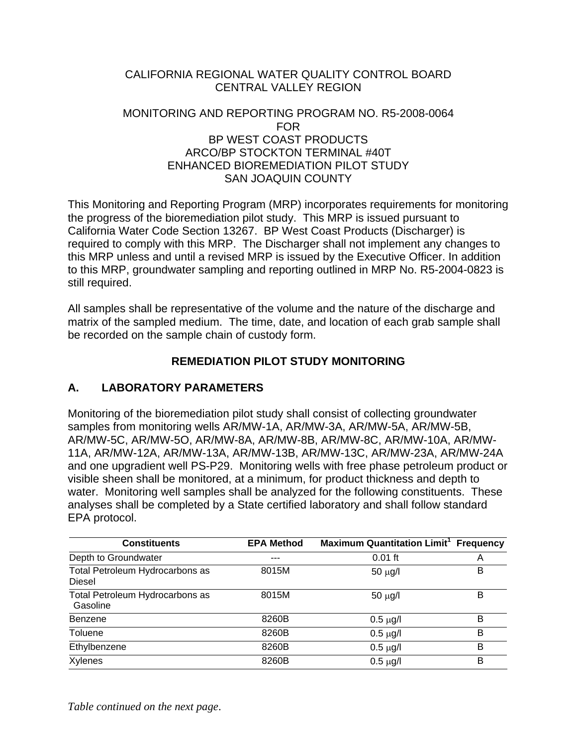# CALIFORNIA REGIONAL WATER QUALITY CONTROL BOARD CENTRAL VALLEY REGION

# MONITORING AND REPORTING PROGRAM NO. R5-2008-0064 FOR BP WEST COAST PRODUCTS ARCO/BP STOCKTON TERMINAL #40T ENHANCED BIOREMEDIATION PILOT STUDY SAN JOAQUIN COUNTY

This Monitoring and Reporting Program (MRP) incorporates requirements for monitoring the progress of the bioremediation pilot study. This MRP is issued pursuant to California Water Code Section 13267. BP West Coast Products (Discharger) is required to comply with this MRP. The Discharger shall not implement any changes to this MRP unless and until a revised MRP is issued by the Executive Officer. In addition to this MRP, groundwater sampling and reporting outlined in MRP No. R5-2004-0823 is still required.

All samples shall be representative of the volume and the nature of the discharge and matrix of the sampled medium. The time, date, and location of each grab sample shall be recorded on the sample chain of custody form.

# **REMEDIATION PILOT STUDY MONITORING**

# **A. LABORATORY PARAMETERS**

Monitoring of the bioremediation pilot study shall consist of collecting groundwater samples from monitoring wells AR/MW-1A, AR/MW-3A, AR/MW-5A, AR/MW-5B, AR/MW-5C, AR/MW-5O, AR/MW-8A, AR/MW-8B, AR/MW-8C, AR/MW-10A, AR/MW-11A, AR/MW-12A, AR/MW-13A, AR/MW-13B, AR/MW-13C, AR/MW-23A, AR/MW-24A and one upgradient well PS-P29. Monitoring wells with free phase petroleum product or visible sheen shall be monitored, at a minimum, for product thickness and depth to water. Monitoring well samples shall be analyzed for the following constituents. These analyses shall be completed by a State certified laboratory and shall follow standard EPA protocol.

| <b>Constituents</b>                              | <b>EPA Method</b> | <b>Maximum Quantitation Limit<sup>1</sup></b> Frequency |   |
|--------------------------------------------------|-------------------|---------------------------------------------------------|---|
| Depth to Groundwater                             | ---               | $0.01$ ft                                               | Α |
| Total Petroleum Hydrocarbons as<br><b>Diesel</b> | 8015M             | $50 \mu g/l$                                            | в |
| Total Petroleum Hydrocarbons as<br>Gasoline      | 8015M             | $50 \mu g/l$                                            | в |
| Benzene                                          | 8260B             | $0.5 \mu g/l$                                           | B |
| <b>Toluene</b>                                   | 8260B             | $0.5 \mu g/l$                                           | B |
| Ethylbenzene                                     | 8260B             | $0.5 \mu g/l$                                           | B |
| Xylenes                                          | 8260B             | $0.5 \mu g/l$                                           | B |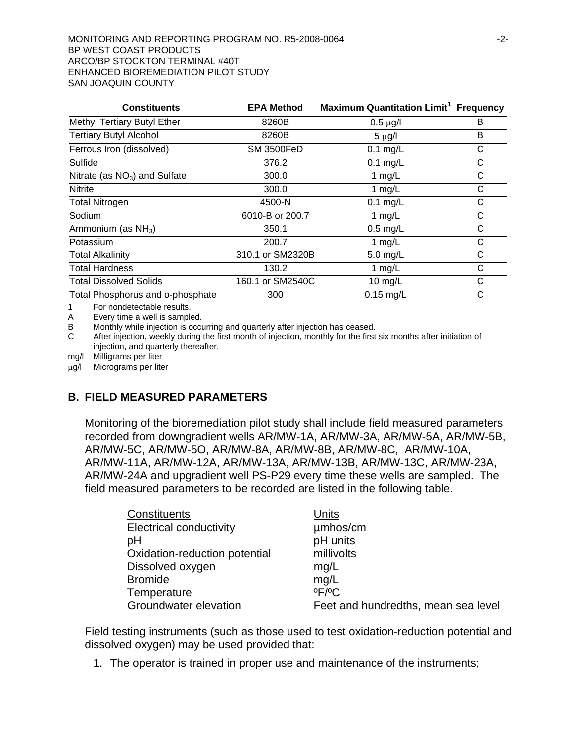#### MONITORING AND REPORTING PROGRAM NO. R5-2008-0064  $-2$ -BP WEST COAST PRODUCTS ARCO/BP STOCKTON TERMINAL #40T ENHANCED BIOREMEDIATION PILOT STUDY SAN JOAQUIN COUNTY

| <b>Constituents</b>              | <b>EPA Method</b> | Maximum Quantitation Limit <sup>1</sup> Frequency |   |
|----------------------------------|-------------------|---------------------------------------------------|---|
| Methyl Tertiary Butyl Ether      | 8260B             | $0.5 \mu g/l$                                     | в |
| <b>Tertiary Butyl Alcohol</b>    | 8260B             | $5 \mu g/l$                                       | B |
| Ferrous Iron (dissolved)         | <b>SM 3500FeD</b> | $0.1$ mg/L                                        | С |
| Sulfide                          | 376.2             | $0.1$ mg/L                                        | С |
| Nitrate (as $NO3$ ) and Sulfate  | 300.0             | 1 $mg/L$                                          | С |
| Nitrite                          | 300.0             | 1 $mg/L$                                          | С |
| <b>Total Nitrogen</b>            | 4500-N            | $0.1$ mg/L                                        | C |
| Sodium                           | 6010-B or 200.7   | 1 $mg/L$                                          | С |
| Ammonium (as $NH3$ )             | 350.1             | $0.5$ mg/L                                        | С |
| Potassium                        | 200.7             | 1 $mg/L$                                          | С |
| <b>Total Alkalinity</b>          | 310.1 or SM2320B  | 5.0 mg/L                                          | С |
| <b>Total Hardness</b>            | 130.2             | 1 $mg/L$                                          | С |
| <b>Total Dissolved Solids</b>    | 160.1 or SM2540C  | 10 mg/L                                           | C |
| Total Phosphorus and o-phosphate | 300               | $0.15$ mg/L                                       | C |

1 For nondetectable results.

A Every time a well is sampled.

B Monthly while injection is occurring and quarterly after injection has ceased.

C After injection, weekly during the first month of injection, monthly for the first six months after initiation of injection, and quarterly thereafter.

mg/l Milligrams per liter

μg/l Micrograms per liter

## **B. FIELD MEASURED PARAMETERS**

Monitoring of the bioremediation pilot study shall include field measured parameters recorded from downgradient wells AR/MW-1A, AR/MW-3A, AR/MW-5A, AR/MW-5B, AR/MW-5C, AR/MW-5O, AR/MW-8A, AR/MW-8B, AR/MW-8C, AR/MW-10A, AR/MW-11A, AR/MW-12A, AR/MW-13A, AR/MW-13B, AR/MW-13C, AR/MW-23A, AR/MW-24A and upgradient well PS-P29 every time these wells are sampled. The field measured parameters to be recorded are listed in the following table.

| Units                               |
|-------------------------------------|
| umhos/cm                            |
| pH units                            |
| millivolts                          |
| mg/L                                |
| mg/L                                |
| $^{\circ}$ F/ $^{\circ}$ C          |
| Feet and hundredths, mean sea level |
|                                     |

Field testing instruments (such as those used to test oxidation-reduction potential and dissolved oxygen) may be used provided that:

1. The operator is trained in proper use and maintenance of the instruments;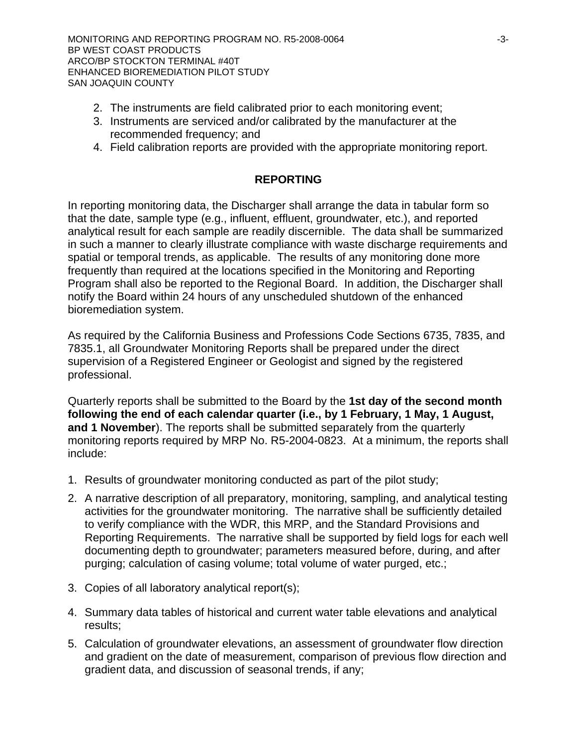- 2. The instruments are field calibrated prior to each monitoring event;
- 3. Instruments are serviced and/or calibrated by the manufacturer at the recommended frequency; and
- 4. Field calibration reports are provided with the appropriate monitoring report.

# **REPORTING**

In reporting monitoring data, the Discharger shall arrange the data in tabular form so that the date, sample type (e.g., influent, effluent, groundwater, etc.), and reported analytical result for each sample are readily discernible. The data shall be summarized in such a manner to clearly illustrate compliance with waste discharge requirements and spatial or temporal trends, as applicable. The results of any monitoring done more frequently than required at the locations specified in the Monitoring and Reporting Program shall also be reported to the Regional Board. In addition, the Discharger shall notify the Board within 24 hours of any unscheduled shutdown of the enhanced bioremediation system.

As required by the California Business and Professions Code Sections 6735, 7835, and 7835.1, all Groundwater Monitoring Reports shall be prepared under the direct supervision of a Registered Engineer or Geologist and signed by the registered professional.

Quarterly reports shall be submitted to the Board by the **1st day of the second month following the end of each calendar quarter (i.e., by 1 February, 1 May, 1 August, and 1 November**). The reports shall be submitted separately from the quarterly monitoring reports required by MRP No. R5-2004-0823. At a minimum, the reports shall include:

- 1. Results of groundwater monitoring conducted as part of the pilot study;
- 2. A narrative description of all preparatory, monitoring, sampling, and analytical testing activities for the groundwater monitoring. The narrative shall be sufficiently detailed to verify compliance with the WDR, this MRP, and the Standard Provisions and Reporting Requirements. The narrative shall be supported by field logs for each well documenting depth to groundwater; parameters measured before, during, and after purging; calculation of casing volume; total volume of water purged, etc.;
- 3. Copies of all laboratory analytical report(s);
- 4. Summary data tables of historical and current water table elevations and analytical results;
- 5. Calculation of groundwater elevations, an assessment of groundwater flow direction and gradient on the date of measurement, comparison of previous flow direction and gradient data, and discussion of seasonal trends, if any;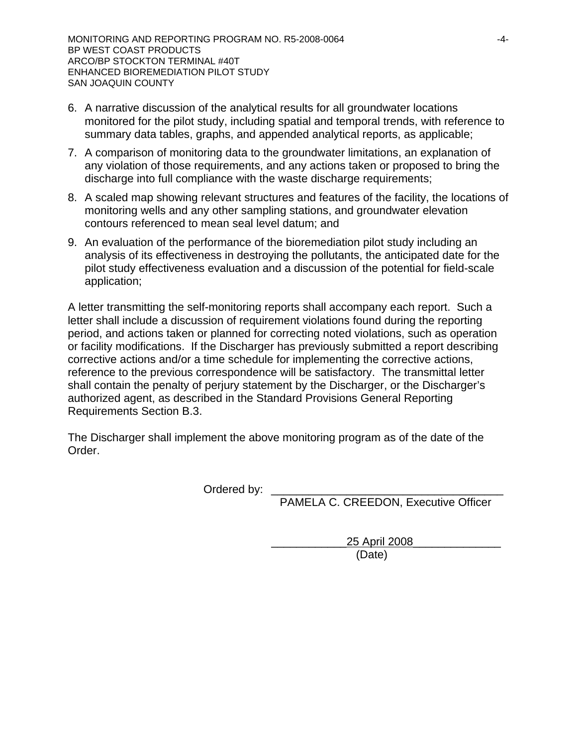- 6. A narrative discussion of the analytical results for all groundwater locations monitored for the pilot study, including spatial and temporal trends, with reference to summary data tables, graphs, and appended analytical reports, as applicable;
- 7. A comparison of monitoring data to the groundwater limitations, an explanation of any violation of those requirements, and any actions taken or proposed to bring the discharge into full compliance with the waste discharge requirements;
- 8. A scaled map showing relevant structures and features of the facility, the locations of monitoring wells and any other sampling stations, and groundwater elevation contours referenced to mean seal level datum; and
- 9. An evaluation of the performance of the bioremediation pilot study including an analysis of its effectiveness in destroying the pollutants, the anticipated date for the pilot study effectiveness evaluation and a discussion of the potential for field-scale application;

A letter transmitting the self-monitoring reports shall accompany each report. Such a letter shall include a discussion of requirement violations found during the reporting period, and actions taken or planned for correcting noted violations, such as operation or facility modifications. If the Discharger has previously submitted a report describing corrective actions and/or a time schedule for implementing the corrective actions, reference to the previous correspondence will be satisfactory. The transmittal letter shall contain the penalty of perjury statement by the Discharger, or the Discharger's authorized agent, as described in the Standard Provisions General Reporting Requirements Section B.3.

The Discharger shall implement the above monitoring program as of the date of the Order.

Ordered by:

PAMELA C. CREEDON, Executive Officer

\_\_\_\_\_\_\_\_\_\_\_\_25 April 2008\_\_\_\_\_\_\_\_\_\_\_\_\_\_ (Date)